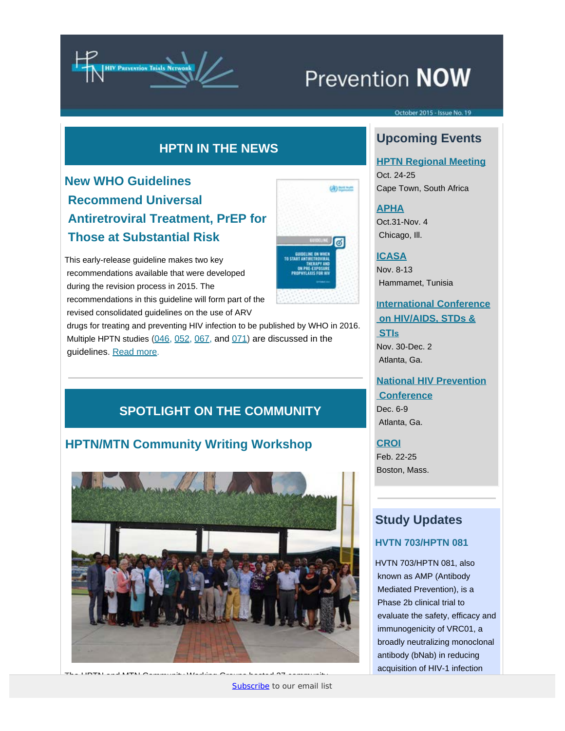

# Prevention NOW

#### ctober 2015 - Issue No. 19

### **HPTN IN THE NEWS**

# **New WHO Guidelines Recommend Universal Antiretroviral Treatment, PrEP for Those at Substantial Risk**

This early-release guideline makes two key recommendations available that were developed during the revision process in 2015. The recommendations in this guideline will form part of the revised consolidated guidelines on the use of ARV



(8) horses

 drugs for treating and preventing HIV infection to be published by WHO in 2016. Multiple HPTN studies [\(046](http://www.hptn.org/research_studies/hptn046.asp), [052](http://www.hptn.org/research_studies/hptn052.asp), [067](http://www.hptn.org/research_studies/hptn067.asp), and [071\)](http://www.hptn.org/research_studies/hptn071.asp) are discussed in the guidelines. [Read more](http://www.hptn.org/network_information/hptnnews/15/prep_guidelines.html).

## **SPOTLIGHT ON THE COMMUNITY**

### **HPTN/MTN Community Writing Workshop**



The HPTN and MTN Community Working Groups hosted 27 community

educators and community advisory board members from 11 community advisory board members from 11 countries at F<br>The FHI state at FHI state at FHI state at FHI state at FHI state at FHI state at FHI state at FHI state at FHI

# **Upcoming Events**

### **[HPTN Regional Meeting](http://www.hptn.org/)**

Oct. 24-25 Cape Town, South Africa

### **[APHA](http://www.apha.org/events-and-meetings/annual)**

Oct.31-Nov. 4 Chicago, Ill.

#### **[ICASA](http://icasa2015tunisia.org/)**

Nov. 8-13 Hammamet, Tunisia

### **[International Conference](http://hiv-aids-std.conferenceseries.com/)  [on HIV/AIDS, STDs &](http://hiv-aids-std.conferenceseries.com/)  [STIs](http://hiv-aids-std.conferenceseries.com/)**

Nov. 30-Dec. 2 Atlanta, Ga.

### **[National HIV Prevention](http://www.cdc.gov/nhpc/index.html)  [Conference](http://www.cdc.gov/nhpc/index.html)** Dec. 6-9

Atlanta, Ga.

#### **[CROI](http://www.croiconference.org/)** Feb. 22-25

Boston, Mass.

### **Study Updates**

### **HVTN 703/HPTN 081**

HVTN 703/HPTN 081, also known as AMP (Antibody Mediated Prevention), is a Phase 2b clinical trial to evaluate the safety, efficacy and immunogenicity of VRC01, a broadly neutralizing monoclonal antibody (bNab) in reducing acquisition of HIV-1 infection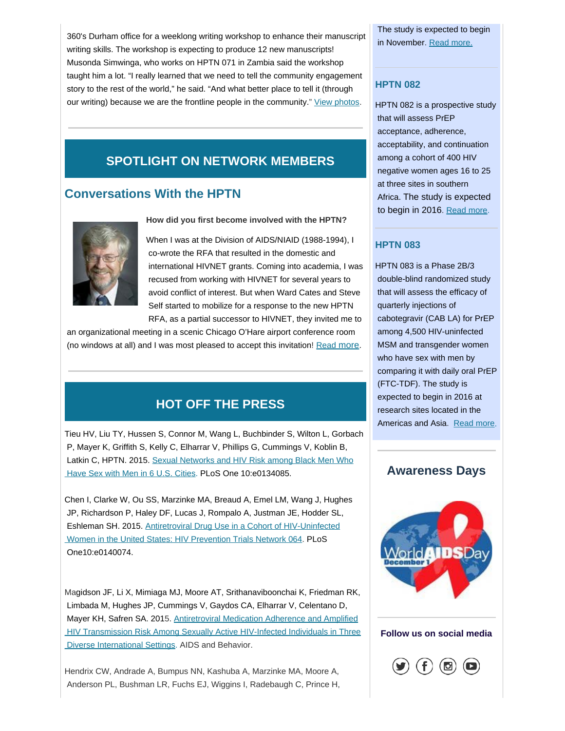360's Durham office for a weeklong writing workshop to enhance their manuscript writing skills. The workshop is expecting to produce 12 new manuscripts! Musonda Simwinga, who works on HPTN 071 in Zambia said the workshop taught him a lot. "I really learned that we need to tell the community engagement story to the rest of the world," he said. "And what better place to tell it (through our writing) because we are the frontline people in the community." [View photos](http://hptn.org/network_information/hptnnews/15/events.html).

### **SPOTLIGHT ON NETWORK MEMBERS**

### **Conversations With the HPTN**



**How did you first become involved with the HPTN?**

When I was at the Division of AIDS/NIAID (1988-1994), I co-wrote the RFA that resulted in the domestic and international HIVNET grants. Coming into academia, I was recused from working with HIVNET for several years to avoid conflict of interest. But when Ward Cates and Steve Self started to mobilize for a response to the new HPTN RFA, as a partial successor to HIVNET, they invited me to

 an organizational meeting in a scenic Chicago O'Hare airport conference room (no windows at all) and I was most pleased to accept this invitation! [Read more](http://www.hptn.org/network_information/hptnnews/15/conversations_sten.html).

# **HOT OFF THE PRESS**

Tieu HV, Liu TY, Hussen S, Connor M, Wang L, Buchbinder S, Wilton L, Gorbach P, Mayer K, Griffith S, Kelly C, Elharrar V, Phillips G, Cummings V, Koblin B, Latkin C, HPTN. 2015. [Sexual Networks and HIV Risk among Black Men Who](http://www.ncbi.nlm.nih.gov/pmc/articles/PMC4524662/)  [Have Sex with Men in 6 U.S. Cities](http://www.ncbi.nlm.nih.gov/pmc/articles/PMC4524662/). PLoS One 10:e0134085.

Chen I, Clarke W, Ou SS, Marzinke MA, Breaud A, Emel LM, Wang J, Hughes JP, Richardson P, Haley DF, Lucas J, Rompalo A, Justman JE, Hodder SL, Eshleman SH. 2015. [Antiretroviral Drug Use in a Cohort of HIV-Uninfected](http://www.ncbi.nlm.nih.gov/pubmed/?term=Antiretroviral+Drug+Use+in+a+Cohort+of+HIV-Uninfected+Women+in+the+United+States)  [Women in the United States: HIV Prevention Trials Network 064](http://www.ncbi.nlm.nih.gov/pubmed/?term=Antiretroviral+Drug+Use+in+a+Cohort+of+HIV-Uninfected+Women+in+the+United+States). PLoS One10:e0140074.

Magidson JF, Li X, Mimiaga MJ, Moore AT, Srithanaviboonchai K, Friedman RK, Limbada M, Hughes JP, Cummings V, Gaydos CA, Elharrar V, Celentano D, Mayer KH, Safren SA. 2015. [Antiretroviral Medication Adherence and Amplified](http://www.ncbi.nlm.nih.gov/pubmed/?term=Antiretroviral+Medication+Adherence+and+Amplified+HIV+Transmission+Risk+Among+Sexually+Active+HIV-Infected+Individuals+in+Three+Diverse+International+Settings)  [HIV Transmission Risk Among Sexually Active HIV-Infected Individuals in Three](http://www.ncbi.nlm.nih.gov/pubmed/?term=Antiretroviral+Medication+Adherence+and+Amplified+HIV+Transmission+Risk+Among+Sexually+Active+HIV-Infected+Individuals+in+Three+Diverse+International+Settings)  [Diverse International Settings](http://www.ncbi.nlm.nih.gov/pubmed/?term=Antiretroviral+Medication+Adherence+and+Amplified+HIV+Transmission+Risk+Among+Sexually+Active+HIV-Infected+Individuals+in+Three+Diverse+International+Settings). AIDS and Behavior.

Hendrix CW, Andrade A, Bumpus NN, Kashuba A, Marzinke MA, Moore A, Anderson PL, Bushman LR, Fuchs EJ, Wiggins I, Radebaugh C, Prince H,  The study is expected to begin in November. [Read more.](http://ampstudy.org/home#sthash.tY8afwCb.dpbs)

### **HPTN 082**

HPTN 082 is a prospective study that will assess PrEP acceptance, adherence, acceptability, and continuation among a cohort of 400 HIV negative women ages 16 to 25 at three sites in southern Africa. The study is expected to begin in 2016. [Read more](http://www.hptn.org/research_studies/Developing.asp).

### **HPTN 083**

HPTN 083 is a Phase 2B/3 double-blind randomized study that will assess the efficacy of quarterly injections of cabotegravir (CAB LA) for PrEP among 4,500 HIV-uninfected MSM and transgender women who have sex with men by comparing it with daily oral PrEP (FTC-TDF). The study is expected to begin in 2016 at research sites located in the Americas and Asia. [Read more](http://www.hptn.org/research_studies/Developing.asp).



#### **Follow us on social media**